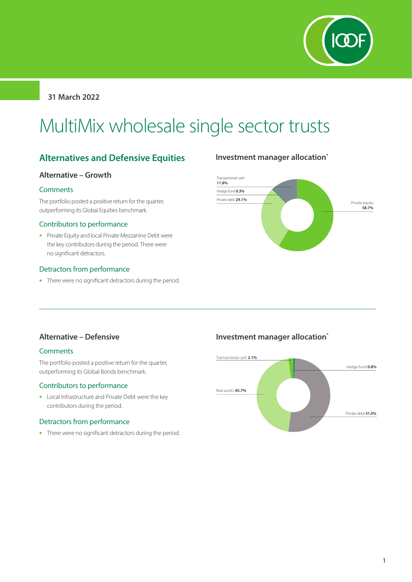

**31 March 2022**

# MultiMix wholesale single sector trusts

## **Alternatives and Defensive Equities**

#### **Alternative – Growth**

#### **Comments**

The portfolio posted a positive return for the quarter, outperforming its Global Equities benchmark.

#### Contributors to performance

• Private Equity and local Private Mezzanine Debt were the key contributors during the period. There were no significant detractors.

#### Detractors from performance

• There were no significant detractors during the period.

## **Investment manager allocation\***



## **Alternative – Defensive**

#### **Comments**

The portfolio posted a positive return for the quarter, outperforming its Global Bonds benchmark.

#### Contributors to performance

• Local Infrastructure and Private Debt were the key contributors during the period.

#### Detractors from performance

• There were no significant detractors during the period.

## **Investment manager allocation\***